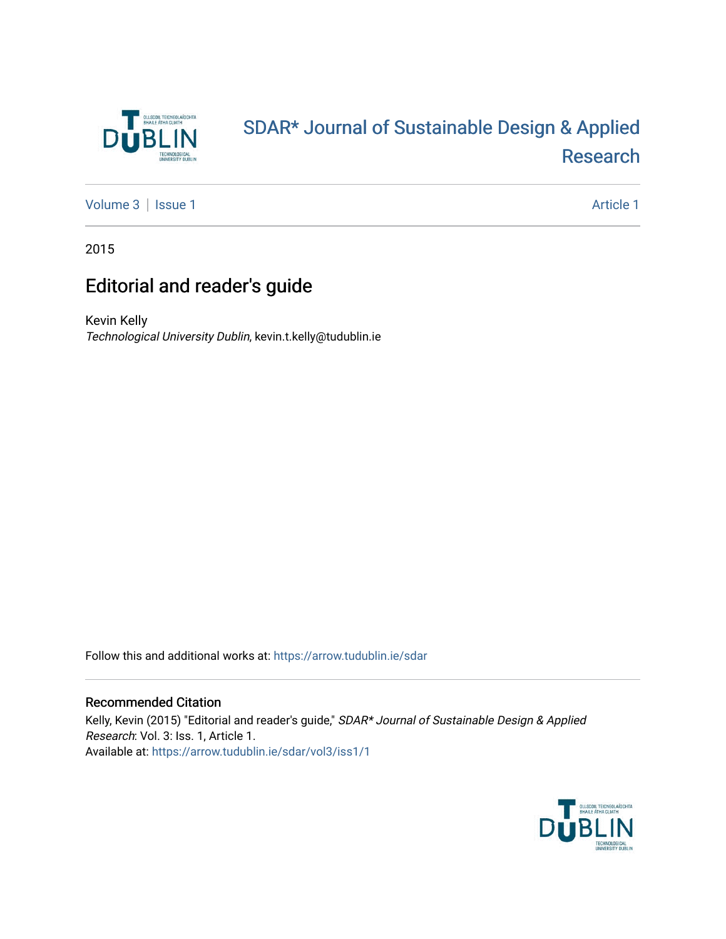

# [SDAR\\* Journal of Sustainable Design & Applied](https://arrow.tudublin.ie/sdar)  [Research](https://arrow.tudublin.ie/sdar)

[Volume 3](https://arrow.tudublin.ie/sdar/vol3) | [Issue 1](https://arrow.tudublin.ie/sdar/vol3/iss1) Article 1

2015

## Editorial and reader's guide

Kevin Kelly Technological University Dublin, kevin.t.kelly@tudublin.ie

Follow this and additional works at: [https://arrow.tudublin.ie/sdar](https://arrow.tudublin.ie/sdar?utm_source=arrow.tudublin.ie%2Fsdar%2Fvol3%2Fiss1%2F1&utm_medium=PDF&utm_campaign=PDFCoverPages) 

#### Recommended Citation

Kelly, Kevin (2015) "Editorial and reader's guide," SDAR\* Journal of Sustainable Design & Applied Research: Vol. 3: Iss. 1, Article 1. Available at: [https://arrow.tudublin.ie/sdar/vol3/iss1/1](https://arrow.tudublin.ie/sdar/vol3/iss1/1?utm_source=arrow.tudublin.ie%2Fsdar%2Fvol3%2Fiss1%2F1&utm_medium=PDF&utm_campaign=PDFCoverPages) 

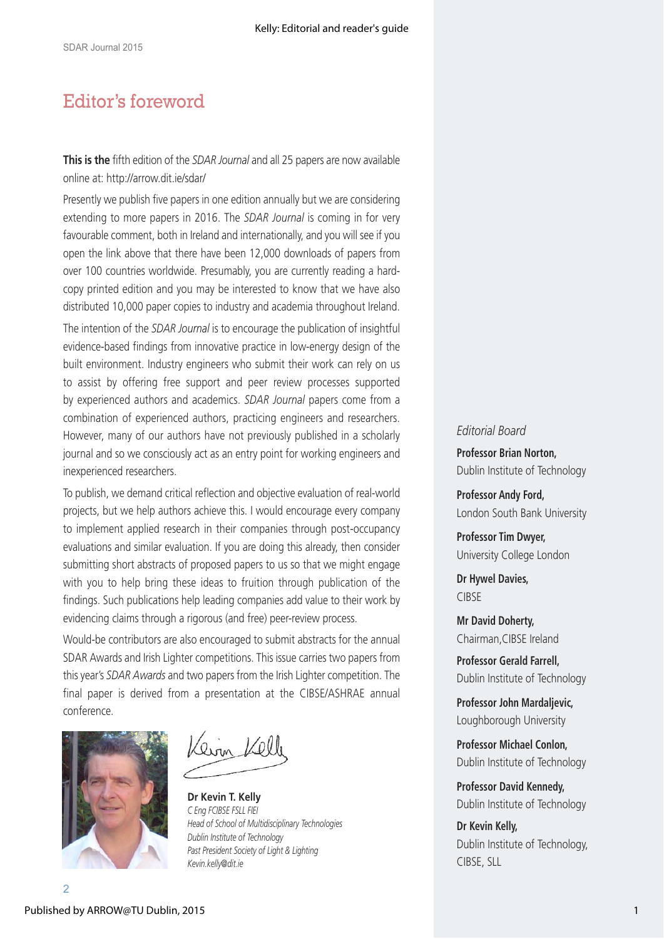### Editor's foreword

**This is the** fifth edition of the *SDAR Journal* and all 25 papers are now available online at: http://arrow.dit.ie/sdar/

Presently we publish five papers in one edition annually but we are considering extending to more papers in 2016. The *SDAR Journal* is coming in for very favourable comment, both in Ireland and internationally, and you will see if you open the link above that there have been 12,000 downloads of papers from over 100 countries worldwide. Presumably, you are currently reading a hardcopy printed edition and you may be interested to know that we have also distributed 10,000 paper copies to industry and academia throughout Ireland.

The intention of the *SDAR Journal* is to encourage the publication of insightful evidence-based findings from innovative practice in low-energy design of the built environment. Industry engineers who submit their work can rely on us to assist by offering free support and peer review processes supported by experienced authors and academics. *SDAR Journal* papers come from a combination of experienced authors, practicing engineers and researchers. However, many of our authors have not previously published in a scholarly journal and so we consciously act as an entry point for working engineers and inexperienced researchers.

To publish, we demand critical reflection and objective evaluation of real-world projects, but we help authors achieve this. I would encourage every company to implement applied research in their companies through post-occupancy evaluations and similar evaluation. If you are doing this already, then consider submitting short abstracts of proposed papers to us so that we might engage with you to help bring these ideas to fruition through publication of the findings. Such publications help leading companies add value to their work by evidencing claims through a rigorous (and free) peer-review process.

Would-be contributors are also encouraged to submit abstracts for the annual SDAR Awards and Irish Lighter competitions. This issue carries two papers from this year's *SDAR Awards* and two papers from the Irish Lighter competition. The final paper is derived from a presentation at the CIBSE/ASHRAE annual conference.



rin 1201

**Dr Kevin T. Kelly** *C Eng FCIBSE FSLL FIEI Head of School of Multidisciplinary Technologies Dublin Institute of Technology Past President Society of Light & Lighting Kevin.kelly@dit.ie*

#### *Editorial Board*

**Professor Brian Norton,** Dublin Institute of Technology

**Professor Andy Ford,**  London South Bank University

**Professor Tim Dwyer,**  University College London

**Dr Hywel Davies,**  CIBSE

**Mr David Doherty,** Chairman,CIBSE Ireland

**Professor Gerald Farrell,**  Dublin Institute of Technology

**Professor John Mardaljevic,** Loughborough University

**Professor Michael Conlon,**  Dublin Institute of Technology

**Professor David Kennedy,** Dublin Institute of Technology

**Dr Kevin Kelly,** Dublin Institute of Technology, CIBSE, SLL

2